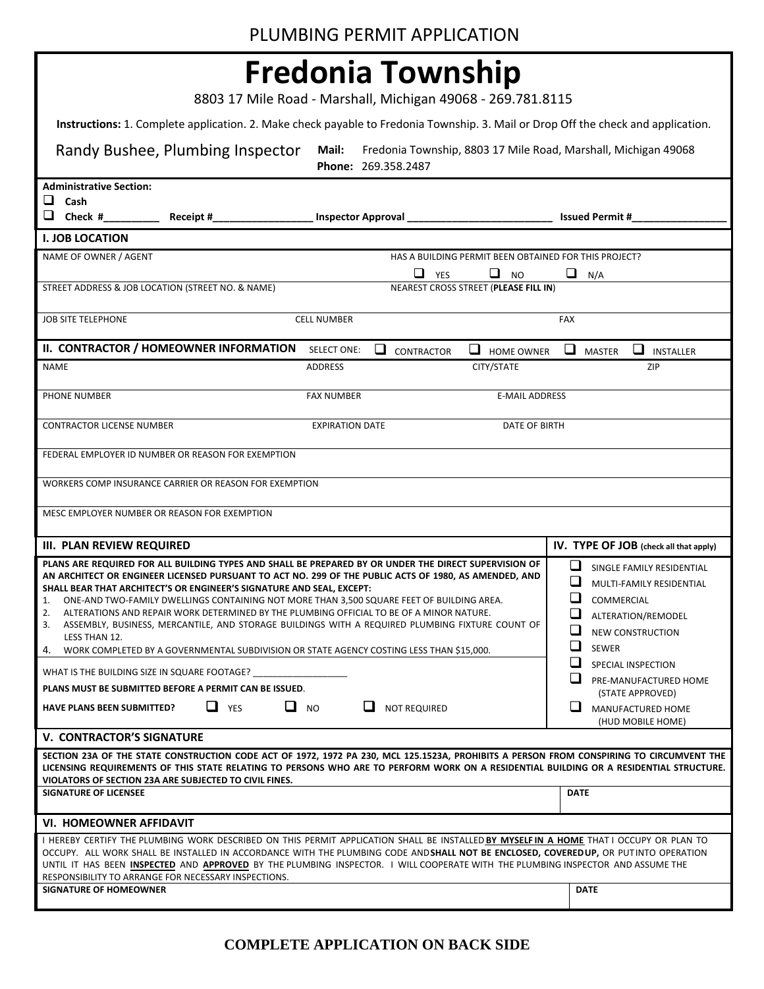8803 17 Mile Road - Marshall, Michigan 49068 - 269.781.8115

**Instructions:** 1. Complete application. 2. Make check payable to Fredonia Township. 3. Mail or Drop Off the check and application.

| Randy Bushee, Plumbing Inspector<br>Mail:<br>Fredonia Township, 8803 17 Mile Road, Marshall, Michigan 49068<br>Phone: 269.358.2487                                                                                                                                                                                                                                                                                                                                                                                                                                                                              |                                                                                                                   |  |  |  |  |  |  |  |  |
|-----------------------------------------------------------------------------------------------------------------------------------------------------------------------------------------------------------------------------------------------------------------------------------------------------------------------------------------------------------------------------------------------------------------------------------------------------------------------------------------------------------------------------------------------------------------------------------------------------------------|-------------------------------------------------------------------------------------------------------------------|--|--|--|--|--|--|--|--|
| <b>Administrative Section:</b>                                                                                                                                                                                                                                                                                                                                                                                                                                                                                                                                                                                  |                                                                                                                   |  |  |  |  |  |  |  |  |
| $\Box$ Cash<br>$\Box$ Check #_________<br>Inspector Approval                                                                                                                                                                                                                                                                                                                                                                                                                                                                                                                                                    |                                                                                                                   |  |  |  |  |  |  |  |  |
| Receipt #                                                                                                                                                                                                                                                                                                                                                                                                                                                                                                                                                                                                       | <b>Issued Permit #</b>                                                                                            |  |  |  |  |  |  |  |  |
| <b>I. JOB LOCATION</b>                                                                                                                                                                                                                                                                                                                                                                                                                                                                                                                                                                                          |                                                                                                                   |  |  |  |  |  |  |  |  |
| NAME OF OWNER / AGENT<br>HAS A BUILDING PERMIT BEEN OBTAINED FOR THIS PROJECT?<br>$\Box$ YES                                                                                                                                                                                                                                                                                                                                                                                                                                                                                                                    |                                                                                                                   |  |  |  |  |  |  |  |  |
| $\Box$ NO<br>NEAREST CROSS STREET (PLEASE FILL IN)<br>STREET ADDRESS & JOB LOCATION (STREET NO. & NAME)                                                                                                                                                                                                                                                                                                                                                                                                                                                                                                         | ⊔<br>N/A                                                                                                          |  |  |  |  |  |  |  |  |
| <b>CELL NUMBER</b><br><b>JOB SITE TELEPHONE</b>                                                                                                                                                                                                                                                                                                                                                                                                                                                                                                                                                                 | <b>FAX</b>                                                                                                        |  |  |  |  |  |  |  |  |
|                                                                                                                                                                                                                                                                                                                                                                                                                                                                                                                                                                                                                 |                                                                                                                   |  |  |  |  |  |  |  |  |
| II. CONTRACTOR / HOMEOWNER INFORMATION SELECT ONE:<br>❏<br>$\Box$ HOME OWNER<br>CONTRACTOR                                                                                                                                                                                                                                                                                                                                                                                                                                                                                                                      | ❏<br>u.<br>MASTER<br><b>INSTALLER</b>                                                                             |  |  |  |  |  |  |  |  |
| CITY/STATE<br><b>ADDRESS</b><br><b>NAME</b>                                                                                                                                                                                                                                                                                                                                                                                                                                                                                                                                                                     | ZIP                                                                                                               |  |  |  |  |  |  |  |  |
| PHONE NUMBER<br><b>FAX NUMBER</b><br><b>E-MAIL ADDRESS</b>                                                                                                                                                                                                                                                                                                                                                                                                                                                                                                                                                      |                                                                                                                   |  |  |  |  |  |  |  |  |
| <b>CONTRACTOR LICENSE NUMBER</b><br><b>EXPIRATION DATE</b><br>DATE OF BIRTH                                                                                                                                                                                                                                                                                                                                                                                                                                                                                                                                     |                                                                                                                   |  |  |  |  |  |  |  |  |
| FEDERAL EMPLOYER ID NUMBER OR REASON FOR EXEMPTION                                                                                                                                                                                                                                                                                                                                                                                                                                                                                                                                                              |                                                                                                                   |  |  |  |  |  |  |  |  |
| WORKERS COMP INSURANCE CARRIER OR REASON FOR EXEMPTION                                                                                                                                                                                                                                                                                                                                                                                                                                                                                                                                                          |                                                                                                                   |  |  |  |  |  |  |  |  |
| MESC EMPLOYER NUMBER OR REASON FOR EXEMPTION                                                                                                                                                                                                                                                                                                                                                                                                                                                                                                                                                                    |                                                                                                                   |  |  |  |  |  |  |  |  |
| <b>III. PLAN REVIEW REQUIRED</b>                                                                                                                                                                                                                                                                                                                                                                                                                                                                                                                                                                                | IV. TYPE OF JOB (check all that apply)                                                                            |  |  |  |  |  |  |  |  |
| PLANS ARE REQUIRED FOR ALL BUILDING TYPES AND SHALL BE PREPARED BY OR UNDER THE DIRECT SUPERVISION OF                                                                                                                                                                                                                                                                                                                                                                                                                                                                                                           | ⊔<br>SINGLE FAMILY RESIDENTIAL                                                                                    |  |  |  |  |  |  |  |  |
| AN ARCHITECT OR ENGINEER LICENSED PURSUANT TO ACT NO. 299 OF THE PUBLIC ACTS OF 1980, AS AMENDED, AND<br>SHALL BEAR THAT ARCHITECT'S OR ENGINEER'S SIGNATURE AND SEAL, EXCEPT:<br>ONE-AND TWO-FAMILY DWELLINGS CONTAINING NOT MORE THAN 3,500 SQUARE FEET OF BUILDING AREA.<br>1.<br>ALTERATIONS AND REPAIR WORK DETERMINED BY THE PLUMBING OFFICIAL TO BE OF A MINOR NATURE.<br>2.<br>ASSEMBLY, BUSINESS, MERCANTILE, AND STORAGE BUILDINGS WITH A REQUIRED PLUMBING FIXTURE COUNT OF<br>3.<br>LESS THAN 12.<br>WORK COMPLETED BY A GOVERNMENTAL SUBDIVISION OR STATE AGENCY COSTING LESS THAN \$15,000.<br>4. | MULTI-FAMILY RESIDENTIAL<br>COMMERCIAL<br>ALTERATION/REMODEL<br>ப<br><b>NEW CONSTRUCTION</b><br>□<br><b>SEWER</b> |  |  |  |  |  |  |  |  |
|                                                                                                                                                                                                                                                                                                                                                                                                                                                                                                                                                                                                                 | ⊔<br>SPECIAL INSPECTION                                                                                           |  |  |  |  |  |  |  |  |
| WHAT IS THE BUILDING SIZE IN SQUARE FOOTAGE?<br><b>PLANS MUST BE SUBMITTED BEFORE A PERMIT CAN BE ISSUED.</b>                                                                                                                                                                                                                                                                                                                                                                                                                                                                                                   | PRE-MANUFACTURED HOME                                                                                             |  |  |  |  |  |  |  |  |
| $\Box$ YES<br>u<br><b>NO</b><br><b>HAVE PLANS BEEN SUBMITTED?</b><br><b>NOT REQUIRED</b>                                                                                                                                                                                                                                                                                                                                                                                                                                                                                                                        | (STATE APPROVED)<br>ப<br>MANUFACTURED HOME                                                                        |  |  |  |  |  |  |  |  |
| <b>V. CONTRACTOR'S SIGNATURE</b>                                                                                                                                                                                                                                                                                                                                                                                                                                                                                                                                                                                | (HUD MOBILE HOME)                                                                                                 |  |  |  |  |  |  |  |  |
| SECTION 23A OF THE STATE CONSTRUCTION CODE ACT OF 1972, 1972 PA 230, MCL 125.1523A, PROHIBITS A PERSON FROM CONSPIRING TO CIRCUMVENT THE<br>LICENSING REQUIREMENTS OF THIS STATE RELATING TO PERSONS WHO ARE TO PERFORM WORK ON A RESIDENTIAL BUILDING OR A RESIDENTIAL STRUCTURE.<br>VIOLATORS OF SECTION 23A ARE SUBJECTED TO CIVIL FINES.<br><b>SIGNATURE OF LICENSEE</b>                                                                                                                                                                                                                                    | <b>DATE</b>                                                                                                       |  |  |  |  |  |  |  |  |
|                                                                                                                                                                                                                                                                                                                                                                                                                                                                                                                                                                                                                 |                                                                                                                   |  |  |  |  |  |  |  |  |
| <b>VI. HOMEOWNER AFFIDAVIT</b><br>I HEREBY CERTIFY THE PLUMBING WORK DESCRIBED ON THIS PERMIT APPLICATION SHALL BE INSTALLED BY MYSELFIN A HOME THAT I OCCUPY OR PLAN TO<br>OCCUPY. ALL WORK SHALL BE INSTALLED IN ACCORDANCE WITH THE PLUMBING CODE AND SHALL NOT BE ENCLOSED, COVEREDUP, OR PUTINTO OPERATION<br>UNTIL IT HAS BEEN INSPECTED AND APPROVED BY THE PLUMBING INSPECTOR. I WILL COOPERATE WITH THE PLUMBING INSPECTOR AND ASSUME THE<br>RESPONSIBILITY TO ARRANGE FOR NECESSARY INSPECTIONS.<br><b>SIGNATURE OF HOMEOWNER</b>                                                                     | <b>DATE</b>                                                                                                       |  |  |  |  |  |  |  |  |